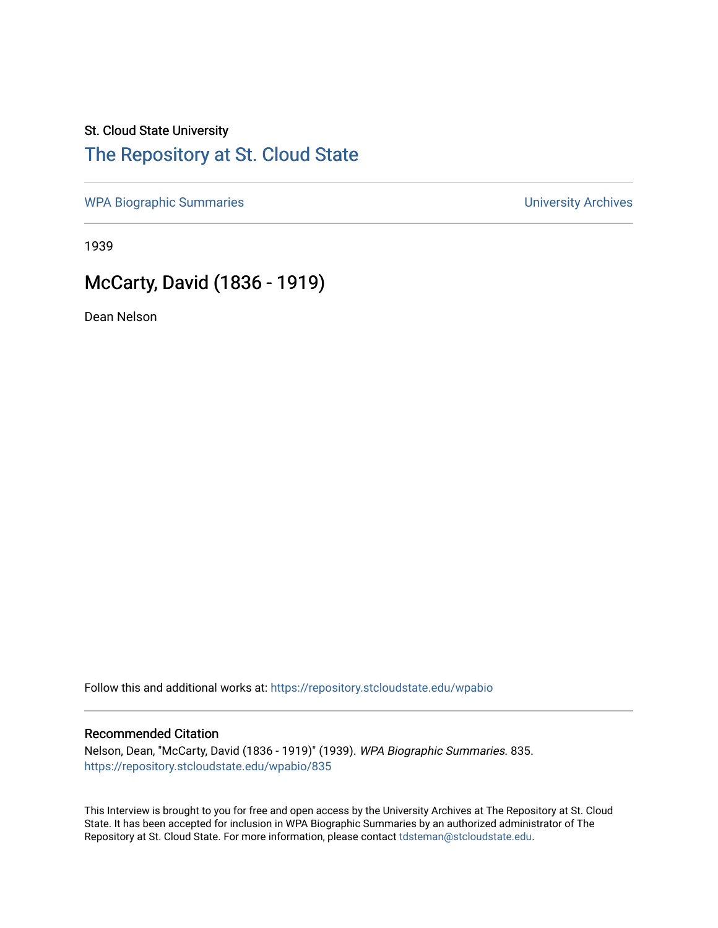## St. Cloud State University

## [The Repository at St. Cloud State](https://repository.stcloudstate.edu/)

[WPA Biographic Summaries](https://repository.stcloudstate.edu/wpabio) **WPA Biographic Summaries University Archives** 

1939

## McCarty, David (1836 - 1919)

Dean Nelson

Follow this and additional works at: [https://repository.stcloudstate.edu/wpabio](https://repository.stcloudstate.edu/wpabio?utm_source=repository.stcloudstate.edu%2Fwpabio%2F835&utm_medium=PDF&utm_campaign=PDFCoverPages) 

#### Recommended Citation

Nelson, Dean, "McCarty, David (1836 - 1919)" (1939). WPA Biographic Summaries. 835. [https://repository.stcloudstate.edu/wpabio/835](https://repository.stcloudstate.edu/wpabio/835?utm_source=repository.stcloudstate.edu%2Fwpabio%2F835&utm_medium=PDF&utm_campaign=PDFCoverPages) 

This Interview is brought to you for free and open access by the University Archives at The Repository at St. Cloud State. It has been accepted for inclusion in WPA Biographic Summaries by an authorized administrator of The Repository at St. Cloud State. For more information, please contact [tdsteman@stcloudstate.edu.](mailto:tdsteman@stcloudstate.edu)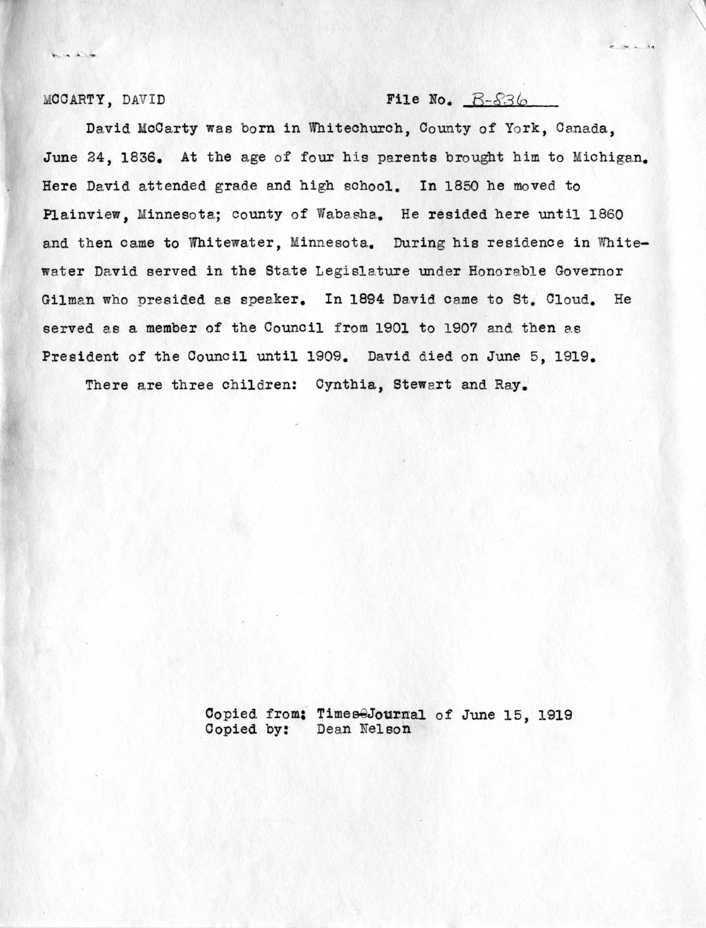$k_{\text{max}}$  ,  $k_{\text{max}}$ 

### $MOCARTY$ , DAVID File No.  $B-836$

 $e$  80 = 12

David McCarty was born in Whitechurch, County of York, Canada, June 24, 1836. At the age of four his parents brought him to Michigan. Here David attended grade and high school. In 1850 he moved to Plainview, Minnesota; county of Wabasha. He resided here until 1860 and then came to Whitewater, Minnesota. During his residence in Whitewater David served in the State Legislature under Honorable Governor Gilman who presided as speaker. In 1894 David came to St. Cloud. He served as a member of the Council from 1901 to 1907 and then as President of the Council until 1909. David died on June 5, 1919.

There are three children: Cynthia, Stewart and Ray.

Copied from; Times<sup>2</sup>Journal of June 15, 1919 Copied by: Dean Nelson